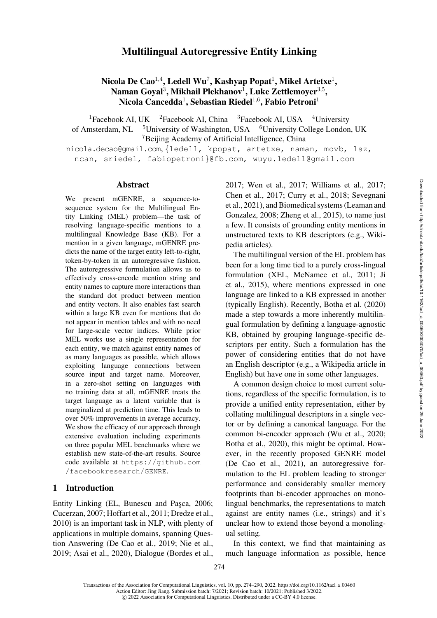# Multilingual Autoregressive Entity Linking

Nicola De Cao<sup>1,4</sup>, Ledell Wu<sup>7</sup>, Kashyap Popat<sup>1</sup>, Mikel Artetxe<sup>1</sup>, Naman Goyal<sup>3</sup>, Mikhail Plekhanov<sup>1</sup>, Luke Zettlemoyer<sup>3,5</sup>, Nicola Cancedda<sup>1</sup>, Sebastian Riedel<sup>1,6</sup>, Fabio Petroni<sup>1</sup>

<sup>1</sup>Facebook AI, UK <sup>2</sup>Facebook AI, China <sup>3</sup>Facebook AI, USA <sup>4</sup>University of Amsterdam, NL <sup>5</sup>University of Washington, USA <sup>6</sup>University College London, UK <sup>7</sup>Beijing Academy of Artificial Intelligence, China

[nicola.decao@gmail.com](mailto:nicola.decao@gmail.com), {[ledell,](mailto:ledell@fb.com) [kpopat,](mailto:kpopat@fb.com) [artetxe,](mailto:artetxe@fb.com) [naman,](mailto:naman@fb.com) [movb,](mailto:movb@fb.com) [lsz,](mailto:lsz@fb.com) [ncan,](mailto:ncan@fb.com) [sriedel,](mailto:sriedel@fb.com) [fabiopetroni](mailto:fabiopetroni@fb.com)}@fb.com, [wuyu.ledell@gmail.com](mailto:wuyu.ledell@gmail.com)

#### Abstract

We present mGENRE, a sequence-tosequence system for the Multilingual Entity Linking (MEL) problem—the task of resolving language-specific mentions to a multilingual Knowledge Base (KB). For a mention in a given language, mGENRE predicts the name of the target entity left-to-right, token-by-token in an autoregressive fashion. The autoregressive formulation allows us to effectively cross-encode mention string and entity names to capture more interactions than the standard dot product between mention and entity vectors. It also enables fast search within a large KB even for mentions that do not appear in mention tables and with no need for large-scale vector indices. While prior MEL works use a single representation for each entity, we match against entity names of as many languages as possible, which allows exploiting language connections between source input and target name. Moreover, in a zero-shot setting on languages with no training data at all, mGENRE treats the target language as a latent variable that is marginalized at prediction time. This leads to over 50% improvements in average accuracy. We show the efficacy of our approach through extensive evaluation including experiments on three popular MEL benchmarks where we establish new state-of-the-art results. Source code available at [https://github.com](https://github.com/facebookresearch/GENRE) [/facebookresearch/GENRE](https://github.com/facebookresearch/GENRE).

#### 1 Introduction

Entity Linking (EL, Bunescu and Paşca, [2006](#page-10-0); [Cucerzan, 2007](#page-10-1); [Hoffart et al., 2011;](#page-11-0) [Dredze et al.,](#page-11-1) [2010](#page-11-1)) is an important task in NLP, with plenty of applications in multiple domains, spanning Question Answering [\(De Cao et al., 2019](#page-11-2); [Nie et al.,](#page-12-0) [2019](#page-12-0); [Asai et al., 2020\)](#page-10-2), Dialogue [\(Bordes et al.,](#page-10-3) [2017](#page-10-3); [Wen et al.](#page-13-0), [2017](#page-13-0); [Williams et al., 2017](#page-13-1); [Chen et al., 2017](#page-10-4); [Curry et al.](#page-10-5), [2018;](#page-10-5) [Sevegnani](#page-12-1) [et al.,](#page-12-1) [2021](#page-12-2)), and Biomedical systems [\(Leaman and](#page-11-3) [Gonzalez,](#page-11-3) [2008](#page-11-4); [Zheng et al., 2015](#page-13-2)), to name just a few. It consists of grounding entity mentions in unstructured texts to KB descriptors (e.g., Wikipedia articles).

The multilingual version of the EL problem has been for a long time tied to a purely cross-lingual formulation (XEL, [McNamee et al.](#page-12-3), [2011;](#page-12-3) [Ji](#page-11-5) [et al.,](#page-11-5) [2015](#page-11-6)), where mentions expressed in one language are linked to a KB expressed in another (typically English). Recently, [Botha et al.](#page-10-6) [\(2020\)](#page-10-6) made a step towards a more inherently multilingual formulation by defining a language-agnostic KB, obtained by grouping language-specific descriptors per entity. Such a formulation has the power of considering entities that do not have an English descriptor (e.g., a Wikipedia article in English) but have one in some other languages.

A common design choice to most current solutions, regardless of the specific formulation, is to provide a unified entity representation, either by collating multilingual descriptors in a single vector or by defining a canonical language. For the common bi-encoder approach [\(Wu et al.](#page-13-3), [2020](#page-13-3); [Botha et al.](#page-10-6), [2020\)](#page-10-6), this might be optimal. However, in the recently proposed GENRE model [\(De Cao et al., 2021\)](#page-11-7), an autoregressive formulation to the EL problem leading to stronger performance and considerably smaller memory footprints than bi-encoder approaches on monolingual benchmarks, the representations to match against are entity names (i.e., strings) and it's unclear how to extend those beyond a monolingual setting.

In this context, we find that maintaining as much language information as possible, hence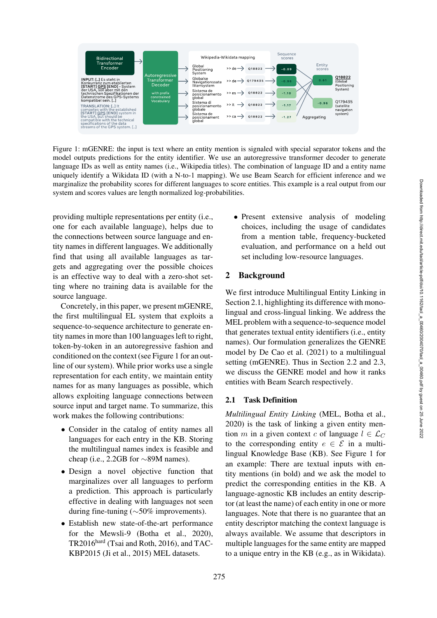

<span id="page-1-0"></span>Figure 1: mGENRE: the input is text where an entity mention is signaled with special separator tokens and the model outputs predictions for the entity identifier. We use an autoregressive transformer decoder to generate language IDs as well as entity names (i.e., Wikipedia titles). The combination of language ID and a entity name uniquely identify a Wikidata ID (with a N-to-1 mapping). We use Beam Search for efficient inference and we marginalize the probability scores for different languages to score entities. This example is a real output from our system and scores values are length normalized log-probabilities.

providing multiple representations per entity (i.e., one for each available language), helps due to the connections between source language and entity names in different languages. We additionally find that using all available languages as targets and aggregating over the possible choices is an effective way to deal with a zero-shot setting where no training data is available for the source language.

Concretely, in this paper, we present mGENRE, the first multilingual EL system that exploits a sequence-to-sequence architecture to generate entity names in more than 100 languages left to right, token-by-token in an autoregressive fashion and conditioned on the context (see [Figure 1](#page-1-0) for an outline of our system). While prior works use a single representation for each entity, we maintain entity names for as many languages as possible, which allows exploiting language connections between source input and target name. To summarize, this work makes the following contributions:

- Consider in the catalog of entity names all languages for each entry in the KB. Storing the multilingual names index is feasible and cheap (i.e., 2.2GB for ∼89M names).
- Design a novel objective function that marginalizes over all languages to perform a prediction. This approach is particularly effective in dealing with languages not seen during fine-tuning (∼50% improvements).
- Establish new state-of-the-art performance for the Mewsli-9 [\(Botha et al.](#page-10-6), [2020\)](#page-10-6), TR2016hard [\(Tsai and Roth, 2016\)](#page-13-4), and TAC-KBP2015 [\(Ji et al.](#page-11-6), [2015\)](#page-11-6) MEL datasets.

• Present extensive analysis of modeling choices, including the usage of candidates from a mention table, frequency-bucketed evaluation, and performance on a held out set including low-resource languages.

## 2 Background

We first introduce Multilingual Entity Linking in Section [2.1,](#page-1-1) highlighting its difference with monolingual and cross-lingual linking. We address the MEL problem with a sequence-to-sequence model that generates textual entity identifiers (i.e., entity names). Our formulation generalizes the GENRE model by [De Cao et al.](#page-11-7) [\(2021](#page-11-7)) to a multilingual setting (mGENRE). Thus in Section [2.2](#page-2-0) and [2.3,](#page-2-1) we discuss the GENRE model and how it ranks entities with Beam Search respectively.

## <span id="page-1-1"></span>2.1 Task Definition

*Multilingual Entity Linking* (MEL, [Botha et al.,](#page-10-6) [2020](#page-10-6)) is the task of linking a given entity mention m in a given context c of language  $l \in \mathcal{L}_C$ to the corresponding entity  $e \in \mathcal{E}$  in a multilingual Knowledge Base (KB). See [Figure 1](#page-1-0) for an example: There are textual inputs with entity mentions (in bold) and we ask the model to predict the corresponding entities in the KB. A language-agnostic KB includes an entity descriptor (at least the name) of each entity in one or more languages. Note that there is no guarantee that an entity descriptor matching the context language is always available. We assume that descriptors in multiple languages for the same entity are mapped to a unique entry in the KB (e.g., as in Wikidata).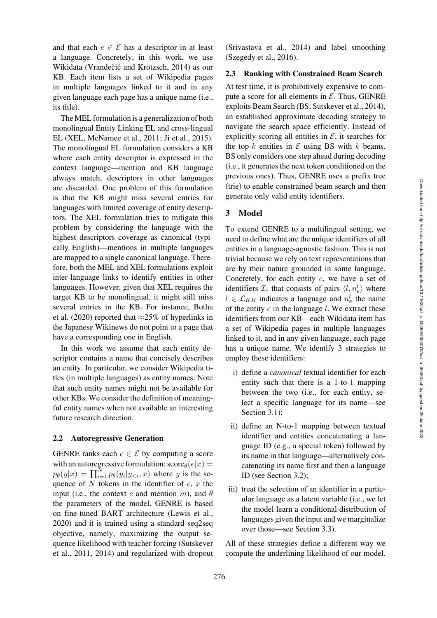and that each  $e \in \mathcal{E}$  has a descriptor in at least a language. Concretely, in this work, we use Wikidata (Vrandečić and Krötzsch, [2014\)](#page-13-5) as our KB. Each item lists a set of Wikipedia pages in multiple languages linked to it and in any given language each page has a unique name (i.e., its title).

The MEL formulation is a generalization of both monolingual Entity Linking EL and cross-lingual EL (XEL, [McNamee et al., 2011;](#page-12-3) [Ji et al.](#page-11-6), [2015\)](#page-11-6). The monolingual EL formulation considers a KB where each entity descriptor is expressed in the context language—mention and KB language always match, descriptors in other languages are discarded. One problem of this formulation is that the KB might miss several entries for languages with limited coverage of entity descriptors. The XEL formulation tries to mitigate this problem by considering the language with the highest descriptors coverage as canonical (typically English)—mentions in multiple languages are mapped to a single canonical language. Therefore, both the MEL and XEL formulations exploit inter-language links to identify entities in other languages. However, given that XEL requires the target KB to be monolingual, it might still miss several entries in the KB. For instance, [Botha](#page-10-7) [et al.](#page-10-7) [\(2020](#page-10-6)) reported that  $\approx$ 25% of hyperlinks in the Japanese Wikinews do not point to a page that have a corresponding one in English.

In this work we assume that each entity descriptor contains a name that concisely describes an entity. In particular, we consider Wikipedia titles (in multiple languages) as entity names. Note that such entity names might not be available for other KBs. We consider the definition of meaningful entity names when not available an interesting future research direction.

#### <span id="page-2-0"></span>2.2 Autoregressive Generation

GENRE ranks each  $e \in \mathcal{E}$  by computing a score with an autoregressive formulation:  $score_{\theta}(e|x)$  =  $p_{\theta}(y|x) = \prod_{i=1}^{N} p_{\theta}(y_i|y_{\leq i}, x)$  where y is the sequence of  $N$  tokens in the identifier of  $e, x$  the input (i.e., the context c and mention m), and  $\theta$ the parameters of the model. GENRE is based on fine-tuned BART architecture [\(Lewis et al.,](#page-11-8) [2020](#page-11-8)) and it is trained using a standard seq2seq objective, namely, maximizing the output sequence likelihood with teacher forcing [\(Sutskever](#page-12-4) [et al.,](#page-12-4) [2011](#page-12-5), [2014\)](#page-13-6) and regularized with dropout [\(Srivastava et al.](#page-12-6), [2014](#page-12-6)) and label smoothing [\(Szegedy et al.](#page-13-7), [2016\)](#page-13-7).

#### <span id="page-2-1"></span>2.3 Ranking with Constrained Beam Search

At test time, it is prohibitively expensive to compute a score for all elements in  $\mathcal{E}$ . Thus, GENRE exploits Beam Search (BS, [Sutskever et al.](#page-13-6), [2014](#page-13-6)), an established approximate decoding strategy to navigate the search space efficiently. Instead of explicitly scoring all entities in  $\mathcal{E}$ , it searches for the top-k entities in  $\mathcal E$  using BS with k beams. BS only considers one step ahead during decoding (i.e., it generates the next token conditioned on the previous ones). Thus, GENRE uses a prefix tree (trie) to enable constrained beam search and then generate only valid entity identifiers.

## <span id="page-2-2"></span>3 Model

To extend GENRE to a multilingual setting, we need to define what are the unique identifiers of all entities in a language-agnostic fashion. This is not trivial because we rely on text representations that are by their nature grounded in some language. Concretely, for each entity e, we have a set of identifiers  $\mathcal{I}_e$  that consists of pairs  $\langle l, n_e^l \rangle$  where  $l \in \mathcal{L}_{KB}$  indicates a language and  $n_e^l$  the name of the entity  $e$  in the language  $l$ . We extract these identifiers from our KB—each Wikidata item has a set of Wikipedia pages in multiple languages linked to it, and in any given language, each page has a unique name. We identify 3 strategies to employ these identifiers:

- i) define a *canonical* textual identifier for each entity such that there is a 1-to-1 mapping between the two (i.e., for each entity, select a specific language for its name—see Section [3.1\)](#page-3-0);
- ii) define an N-to-1 mapping between textual identifier and entities concatenating a language ID (e.g., a special token) followed by its name in that language—alternatively concatenating its name first and then a language ID (see Section [3.2\)](#page-3-1);
- iii) treat the selection of an identifier in a particular language as a latent variable (i.e., we let the model learn a conditional distribution of languages given the input and we marginalize over those—see Section [3.3\)](#page-3-2).

All of these strategies define a different way we compute the underlining likelihood of our model.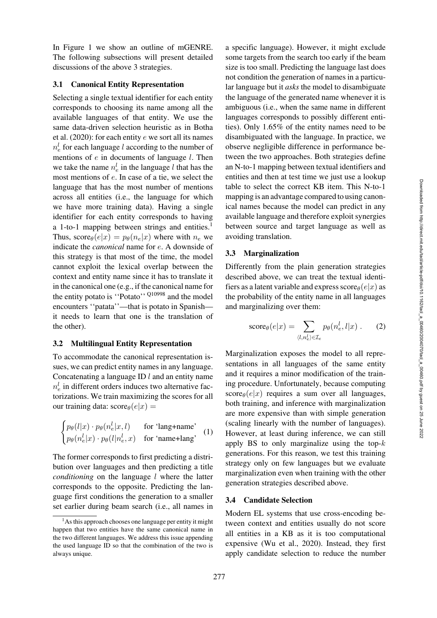In [Figure 1](#page-1-0) we show an outline of mGENRE. The following subsections will present detailed discussions of the above 3 strategies.

#### <span id="page-3-0"></span>3.1 Canonical Entity Representation

Selecting a single textual identifier for each entity corresponds to choosing its name among all the available languages of that entity. We use the same data-driven selection heuristic as in [Botha](#page-10-7) [et al.](#page-10-7)  $(2020)$ : for each entity e we sort all its names  $n_e^l$  for each language l according to the number of mentions of  $e$  in documents of language  $l$ . Then we take the name  $n_e^l$  in the language l that has the most mentions of e. In case of a tie, we select the language that has the most number of mentions across all entities (i.e., the language for which we have more training data). Having a single identifier for each entity corresponds to having a 1-to-1 mapping between strings and entities.<sup>1</sup> Thus,  $score_{\theta}(e|x) = p_{\theta}(n_e|x)$  where with  $n_e$  we indicate the *canonical* name for e. A downside of this strategy is that most of the time, the model cannot exploit the lexical overlap between the context and entity name since it has to translate it in the canonical one (e.g., if the canonical name for the entity potato is "Potato" [Q10998](https://www.wikidata.org/wiki/Q10998) and the model encounters ''patata''—that is potato in Spanish it needs to learn that one is the translation of the other).

#### <span id="page-3-1"></span>3.2 Multilingual Entity Representation

To accommodate the canonical representation issues, we can predict entity names in any language. Concatenating a language ID  $l$  and an entity name  $n_e^l$  in different orders induces two alternative factorizations. We train maximizing the scores for all our training data:  $score_{\theta}(e|x)$  =

$$
\begin{cases}\np_{\theta}(l|x) \cdot p_{\theta}(n_e^l|x,l) & \text{for 'lang+name'} \\
p_{\theta}(n_e^l|x) \cdot p_{\theta}(l|n_e^l,x) & \text{for 'name+lang'}\n\end{cases}
$$
 (1)

The former corresponds to first predicting a distribution over languages and then predicting a title *conditioning* on the language *l* where the latter corresponds to the opposite. Predicting the language first conditions the generation to a smaller set earlier during beam search (i.e., all names in a specific language). However, it might exclude some targets from the search too early if the beam size is too small. Predicting the language last does not condition the generation of names in a particular language but it *asks* the model to disambiguate the language of the generated name whenever it is ambiguous (i.e., when the same name in different languages corresponds to possibly different entities). Only 1.65% of the entity names need to be disambiguated with the language. In practice, we observe negligible difference in performance between the two approaches. Both strategies define an N-to-1 mapping between textual identifiers and entities and then at test time we just use a lookup table to select the correct KB item. This N-to-1 mapping is an advantage compared to using canonical names because the model can predict in any available language and therefore exploit synergies between source and target language as well as avoiding translation.

#### <span id="page-3-2"></span>3.3 Marginalization

Differently from the plain generation strategies described above, we can treat the textual identifiers as a latent variable and express score $e(e|x)$  as the probability of the entity name in all languages and marginalizing over them:

$$
score_{\theta}(e|x) = \sum_{\langle l, n_e^l \rangle \in \mathcal{I}_e} p_{\theta}(n_e^l, l|x) . \tag{2}
$$

Marginalization exposes the model to all representations in all languages of the same entity and it requires a minor modification of the training procedure. Unfortunately, because computing  $score_{\theta}(e|x)$  requires a sum over all languages, both training, and inference with marginalization are more expensive than with simple generation (scaling linearly with the number of languages). However, at least during inference, we can still apply BS to only marginalize using the top- $k$ generations. For this reason, we test this training strategy only on few languages but we evaluate marginalization even when training with the other generation strategies described above.

#### <span id="page-3-4"></span>3.4 Candidate Selection

Modern EL systems that use cross-encoding between context and entities usually do not score all entities in a KB as it is too computational expensive [\(Wu et al., 2020](#page-13-3)). Instead, they first apply candidate selection to reduce the number

<span id="page-3-3"></span><sup>&</sup>lt;sup>1</sup>As this approach chooses one language per entity it might happen that two entities have the same canonical name in the two different languages. We address this issue appending the used language ID so that the combination of the two is always unique.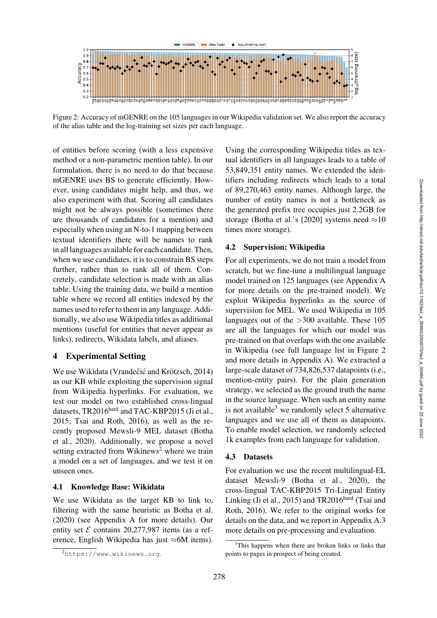

<span id="page-4-1"></span>Figure 2: Accuracy of mGENRE on the 105 languages in our Wikipedia validation set. We also report the accuracy of the alias table and the log-training set sizes per each language.

of entities before scoring (with a less expensive method or a non-parametric mention table). In our formulation, there is no need to do that because mGENRE uses BS to generate efficiently. However, using candidates might help, and thus, we also experiment with that. Scoring all candidates might not be always possible (sometimes there are thousands of candidates for a mention) and especially when using an N-to-1 mapping between textual identifiers there will be names to rank in all languages available for each candidate. Then, when we use candidates, it is to constrain BS steps further, rather than to rank all of them. Concretely, candidate selection is made with an alias table. Using the training data, we build a mention table where we record all entities indexed by the names used to refer to them in any language. Additionally, we also use Wikipedia titles as additional mentions (useful for entities that never appear as links), redirects, Wikidata labels, and aliases.

### 4 Experimental Setting

We use Wikidata (Vrandečić and Krötzsch, [2014\)](#page-13-5) as our KB while exploiting the supervision signal from Wikipedia hyperlinks. For evaluation, we test our model on two established cross-lingual datasets, TR2016<sup>hard</sup> and TAC-KBP2015 [\(Ji et al.,](#page-11-6) [2015](#page-11-6); [Tsai and Roth, 2016](#page-13-4)), as well as the recently proposed Mewsli-9 MEL dataset [\(Botha](#page-10-7) [et al.,](#page-10-7) [2020\)](#page-10-6). Additionally, we propose a novel setting extracted from Wikinews<sup>2</sup> where we train a model on a set of languages, and we test it on unseen ones.

#### 4.1 Knowledge Base: Wikidata

We use Wikidata as the target KB to link to, filtering with the same heuristic as [Botha et al.](#page-10-6) [\(2020\)](#page-10-6) (see Appendix [A](#page-14-0) for more details). Our entity set  $\mathcal E$  contains 20,277,987 items (as a reference, English Wikipedia has just ≈6M items).

Using the corresponding Wikipedia titles as textual identifiers in all languages leads to a table of 53,849,351 entity names. We extended the identifiers including redirects which leads to a total of 89,270,463 entity names. Although large, the number of entity names is not a bottleneck as the generated prefix tree occupies just 2.2GB for storage [\(Botha et al.'](#page-10-6)s [\[2020\]](#page-10-6) systems need  $\approx 10$ times more storage).

### 4.2 Supervision: Wikipedia

For all experiments, we do not train a model from scratch, but we fine-tune a multilingual language model trained on 125 languages (see Appendix [A](#page-14-0) for more details on the pre-trained model). We exploit Wikipedia hyperlinks as the source of supervision for MEL. We used Wikipedia in 105 languages out of the >300 available. These 105 are all the languages for which our model was pre-trained on that overlaps with the one available in Wikipedia (see full language list in [Figure 2](#page-4-1) and more details in Appendix [A\)](#page-14-0). We extracted a large-scale dataset of 734,826,537 datapoints (i.e., mention-entity pairs). For the plain generation strategy, we selected as the ground truth the name in the source language. When such an entity name is not available<sup>[3](#page-4-2)</sup> we randomly select 5 alternative languages and we use all of them as datapoints. To enable model selection, we randomly selected 1k examples from each language for validation.

#### 4.3 Datasets

For evaluation we use the recent multilingual-EL dataset Mewsli-9 [\(Botha et al.](#page-10-6), [2020\)](#page-10-6), the cross-lingual TAC-KBP2015 Tri-Lingual Entity Linking [\(Ji et al., 2015\)](#page-11-6) and  $TR2016<sup>hard</sup>$  [\(Tsai and](#page-13-8) [Roth,](#page-13-8) [2016\)](#page-13-4). We refer to the original works for details on the data, and we report in Appendix [A.3](#page-14-1) more details on pre-processing and evaluation.

<span id="page-4-0"></span><sup>2</sup><https://www.wikinews.org>.

<span id="page-4-2"></span><sup>&</sup>lt;sup>3</sup>This happens when there are broken links or links that points to pages in prospect of being created.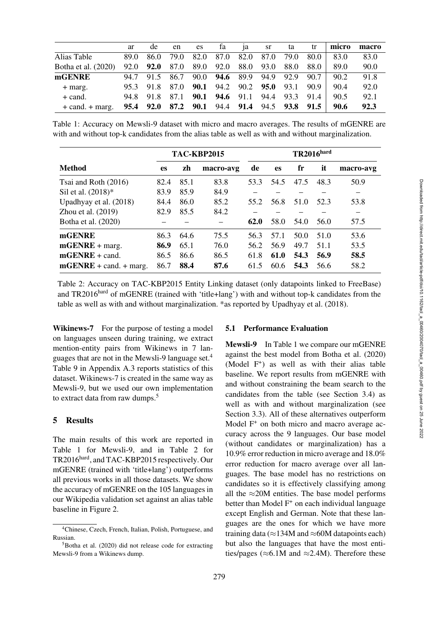|                     | ar   | de        | en   | es   | fa   | 1a                                           | <b>sr</b> | ta   | tr   | micro | macro |
|---------------------|------|-----------|------|------|------|----------------------------------------------|-----------|------|------|-------|-------|
| Alias Table         | 89.0 | 86.0      | 79.0 | 82.0 | 87.0 | 82.0                                         | 87.0      | 79.0 | 80.0 | 83.0  | 83.0  |
| Botha et al. (2020) |      | 92.0 92.0 | 87.0 | 89.0 | 92.0 |                                              | 88.0 93.0 | 88.0 | 88.0 | 89.0  | 90.0  |
| mGENRE              | 94.7 | 91.5      | 86.7 |      |      | 90.0 <b>94.6</b> 89.9 94.9 92.9              |           |      | 90.7 | 90.2  | 91.8  |
| $+$ marg.           |      | 95.3 91.8 | 87.0 |      |      | <b>90.1</b> 94.2 90.2 <b>95.0</b> 93.1       |           |      | 90.9 | 90.4  | 92.0  |
| $+$ cand.           |      | 94.8 91.8 | 87.1 |      |      | <b>90.1 94.6</b> 91.1 94.4 93.3              |           |      | 91.4 | 90.5  | 92.1  |
| $+$ cand. $+$ marg. |      |           |      |      |      | 95.4 92.0 87.2 90.1 94.4 91.4 94.5 93.8 91.5 |           |      |      | 90.6  | 92.3  |

<span id="page-5-2"></span>Table 1: Accuracy on Mewsli-9 dataset with micro and macro averages. The results of mGENRE are with and without top-k candidates from the alias table as well as with and without marginalization.

|                          | TAC-KBP2015 |      |           | <b>TR2016</b> hard |           |      |      |           |
|--------------------------|-------------|------|-----------|--------------------|-----------|------|------|-----------|
| <b>Method</b>            | <b>es</b>   | zh   | macro-avg | de                 | <b>es</b> | fr   | it   | macro-avg |
| Tsai and Roth (2016)     | 82.4        | 85.1 | 83.8      | 53.3               | 54.5      | 47.5 | 48.3 | 50.9      |
| Sil et al. (2018)*       | 83.9        | 85.9 | 84.9      |                    |           |      |      |           |
| Upadhyay et al. (2018)   | 84.4        | 86.0 | 85.2      | 55.2               | 56.8      | 51.0 | 52.3 | 53.8      |
| Zhou et al. $(2019)$     | 82.9        | 85.5 | 84.2      |                    |           |      |      |           |
| Botha et al. (2020)      |             |      |           | 62.0               | 58.0      | 54.0 | 56.0 | 57.5      |
| mGENRE                   | 86.3        | 64.6 | 75.5      | 56.3               | 57.1      | 50.0 | 51.0 | 53.6      |
| $mGENE + marg.$          | 86.9        | 65.1 | 76.0      | 56.2               | 56.9      | 49.7 | 51.1 | 53.5      |
| $mGENRE + cand.$         | 86.5        | 86.6 | 86.5      | 61.8               | 61.0      | 54.3 | 56.9 | 58.5      |
| $mGENRE + cand. + marg.$ | 86.7        | 88.4 | 87.6      | 61.5               | 60.6      | 54.3 | 56.6 | 58.2      |

<span id="page-5-3"></span>Table 2: Accuracy on TAC-KBP2015 Entity Linking dataset (only datapoints linked to FreeBase) and TR2016hard of mGENRE (trained with 'title+lang') with and without top-k candidates from the table as well as with and without marginalization. \*as reported by [Upadhyay et al.](#page-13-11) [\(2018](#page-13-11)).

Wikinews-7 For the purpose of testing a model on languages unseen during training, we extract mention-entity pairs from Wikinews in 7 languages that are not in the Mewsli-9 language set[.4](#page-5-0) [Table 9](#page-15-0) in Appendix [A.3](#page-14-1) reports statistics of this dataset. Wikinews-7 is created in the same way as Mewsli-9, but we used our own implementation to extract data from raw dumps.<sup>5</sup>

## 5 Results

The main results of this work are reported in [Table 1](#page-5-2) for Mewsli-9, and in [Table 2](#page-5-3) for TR2016hard, and TAC-KBP2015 respectively. Our mGENRE (trained with 'title+lang') outperforms all previous works in all those datasets. We show the accuracy of mGENRE on the 105 languages in our Wikipedia validation set against an alias table baseline in [Figure 2.](#page-4-1)

### 5.1 Performance Evaluation

Mewsli-9 In [Table 1](#page-5-2) we compare our mGENRE against the best model from [Botha et al.](#page-10-6) [\(2020\)](#page-10-6) (Model  $F^+$ ) as well as with their alias table baseline. We report results from mGENRE with and without constraining the beam search to the candidates from the table (see Section [3.4\)](#page-3-4) as well as with and without marginalization (see Section [3.3\)](#page-3-2). All of these alternatives outperform Model F<sup>+</sup> on both micro and macro average accuracy across the 9 languages. Our base model (without candidates or marginalization) has a 10.9% error reduction in micro average and 18.0% error reduction for macro average over all languages. The base model has no restrictions on candidates so it is effectively classifying among all the  $\approx$ 20M entities. The base model performs better than Model  $F^+$  on each individual language except English and German. Note that these languages are the ones for which we have more training data ( $\approx$ 134M and  $\approx$ 60M datapoints each) but also the languages that have the most entities/pages ( $\approx$ 6.1M and  $\approx$ 2.4M). Therefore these

<span id="page-5-0"></span><sup>4</sup>Chinese, Czech, French, Italian, Polish, Portuguese, and Russian.

<span id="page-5-1"></span> $5$ Botha et al. [\(2020\)](#page-10-6) did not release code for extracting Mewsli-9 from a Wikinews dump.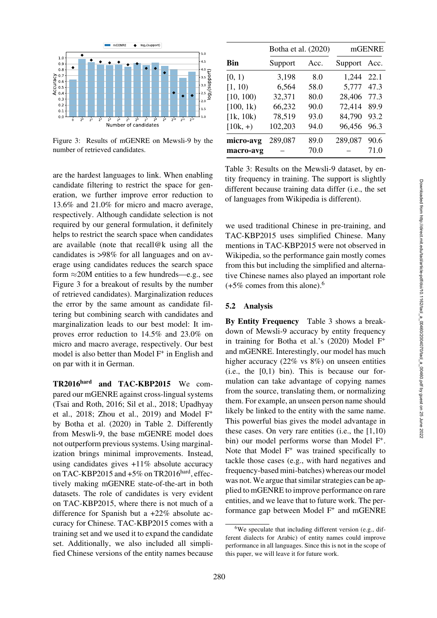

<span id="page-6-0"></span>Figure 3: Results of mGENRE on Mewsli-9 by the number of retrieved candidates.

are the hardest languages to link. When enabling candidate filtering to restrict the space for generation, we further improve error reduction to 13.6% and 21.0% for micro and macro average, respectively. Although candidate selection is not required by our general formulation, it definitely helps to restrict the search space when candidates are available (note that recall@k using all the candidates is >98% for all languages and on average using candidates reduces the search space form  $\approx$  20M entities to a few hundreds—e.g., see [Figure 3](#page-6-0) for a breakout of results by the number of retrieved candidates). Marginalization reduces the error by the same amount as candidate filtering but combining search with candidates and marginalization leads to our best model: It improves error reduction to 14.5% and 23.0% on micro and macro average, respectively. Our best model is also better than Model  $F^+$  in English and on par with it in German.

TR2016hard and TAC-KBP2015 We compared our mGENRE against cross-lingual systems [\(Tsai and Roth, 2016;](#page-13-4) [Sil et al., 2018;](#page-12-8) [Upadhyay](#page-13-9) [et al.,](#page-13-9) [2018;](#page-13-11) [Zhou et al., 2019\)](#page-13-12) and Model F+ by [Botha et al.](#page-10-6) [\(2020\)](#page-10-6) in [Table 2.](#page-5-3) Differently from Meswli-9, the base mGENRE model does not outperform previous systems. Using marginalization brings minimal improvements. Instead, using candidates gives +11% absolute accuracy on TAC-KBP2015 and +5% on TR2016 hard, effectively making mGENRE state-of-the-art in both datasets. The role of candidates is very evident on TAC-KBP2015, where there is not much of a difference for Spanish but a +22% absolute accuracy for Chinese. TAC-KBP2015 comes with a training set and we used it to expand the candidate set. Additionally, we also included all simplified Chinese versions of the entity names because

|            | Botha et al. (2020) |      |              | mGENRE |  |  |
|------------|---------------------|------|--------------|--------|--|--|
| <b>Bin</b> | Support             | Acc. | Support Acc. |        |  |  |
| [0, 1)     | 3,198               | 8.0  | 1,244        | 22.1   |  |  |
| [1, 10)    | 6,564               | 58.0 | 5,777        | 47.3   |  |  |
| [10, 100)  | 32,371              | 80.0 | 28,406       | 77.3   |  |  |
| [100, 1k)  | 66,232              | 90.0 | 72,414       | 89.9   |  |  |
| [1k, 10k)  | 78,519              | 93.0 | 84,790       | 93.2   |  |  |
| $[10k, +)$ | 102,203             | 94.0 | 96,456       | 96.3   |  |  |
| micro-avg  | 289,087             | 89.0 | 289,087      | 90.6   |  |  |
| macro-avg  |                     | 70.0 |              | 71.0   |  |  |

<span id="page-6-2"></span>Table 3: Results on the Mewsli-9 dataset, by entity frequency in training. The support is slightly different because training data differ (i.e., the set of languages from Wikipedia is different).

we used traditional Chinese in pre-training, and TAC-KBP2015 uses simplified Chinese. Many mentions in TAC-KBP2015 were not observed in Wikipedia, so the performance gain mostly comes from this but including the simplified and alternative Chinese names also played an important role  $(+5\%$  comes from this alone).<sup>6</sup>

#### 5.2 Analysis

By Entity Frequency [Table 3](#page-6-2) shows a breakdown of Mewsli-9 accuracy by entity frequency in training for [Botha et al.](#page-10-6)'s [\(2020](#page-10-6)) Model F+ and mGENRE. Interestingly, our model has much higher accuracy (22% vs 8%) on unseen entities  $(i.e., the [0,1) bin)$ . This is because our formulation can take advantage of copying names from the source, translating them, or normalizing them. For example, an unseen person name should likely be linked to the entity with the same name. This powerful bias gives the model advantage in these cases. On very rare entities (i.e., the  $[1,10)$ ) bin) our model performs worse than Model F<sup>+</sup>. Note that Model  $F^+$  was trained specifically to tackle those cases (e.g., with hard negatives and frequency-based mini-batches) whereas our model was not. We argue that similar strategies can be applied to mGENRE to improve performance on rare entities, and we leave that to future work. The performance gap between Model F+ and mGENRE

<span id="page-6-1"></span> $6W$ e speculate that including different version (e.g., different dialects for Arabic) of entity names could improve performance in all languages. Since this is not in the scope of this paper, we will leave it for future work.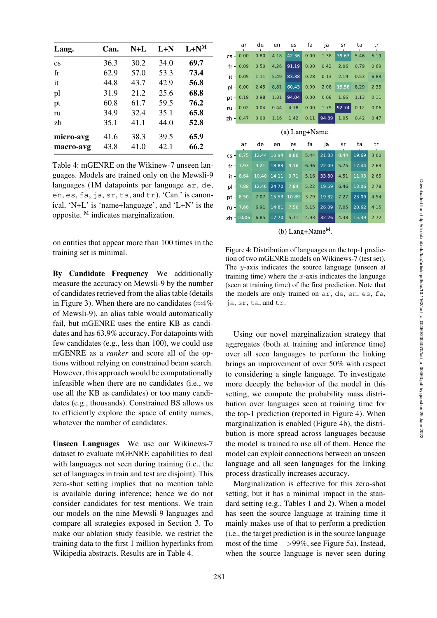| Lang.                  | Can. | $N+L$ | $L+N$ | $L+N^M$ |
|------------------------|------|-------|-------|---------|
| $\mathbf{c}\mathbf{s}$ | 36.3 | 30.2  | 34.0  | 69.7    |
| fr                     | 62.9 | 57.0  | 53.3  | 73.4    |
| it                     | 44.8 | 43.7  | 42.9  | 56.8    |
| pl                     | 31.9 | 21.2  | 25.6  | 68.8    |
| pt                     | 60.8 | 61.7  | 59.5  | 76.2    |
| ru                     | 34.9 | 32.4  | 35.1  | 65.8    |
| zh                     | 35.1 | 41.1  | 44.0  | 52.8    |
| micro-avg              | 41.6 | 38.3  | 39.5  | 65.9    |
| macro-avg              | 43.8 | 41.0  | 42.1  | 66.2    |

<span id="page-7-0"></span>Table 4: mGENRE on the Wikinew-7 unseen languages. Models are trained only on the Mewsli-9 languages (1M datapoints per language ar, de, en, es, fa, ja, sr, ta, and tr). 'Can.' is canonical, 'N+L' is 'name+language', and 'L+N' is the opposite. <sup>M</sup> indicates marginalization.

on entities that appear more than 100 times in the training set is minimal.

By Candidate Frequency We additionally measure the accuracy on Mewsli-9 by the number of candidates retrieved from the alias table (details in [Figure 3\)](#page-6-0). When there are no candidates ( $\approx$ 4% of Mewsli-9), an alias table would automatically fail, but mGENRE uses the entire KB as candidates and has 63.9% accuracy. For datapoints with few candidates (e.g., less than 100), we could use mGENRE as a *ranker* and score all of the options without relying on constrained beam search. However, this approach would be computationally infeasible when there are no candidates (i.e., we use all the KB as candidates) or too many candidates (e.g., thousands). Constrained BS allows us to efficiently explore the space of entity names, whatever the number of candidates.

Unseen Languages We use our Wikinews-7 dataset to evaluate mGENRE capabilities to deal with languages not seen during training (i.e., the set of languages in train and test are disjoint). This zero-shot setting implies that no mention table is available during inference; hence we do not consider candidates for test mentions. We train our models on the nine Mewsli-9 languages and compare all strategies exposed in Section [3.](#page-2-2) To make our ablation study feasible, we restrict the training data to the first 1 million hyperlinks from Wikipedia abstracts. Results are in [Table 4.](#page-7-0)

|          | ar          | de    | en    | es             | fa   | ja    | sr    | ta    | tr   |
|----------|-------------|-------|-------|----------------|------|-------|-------|-------|------|
| $cs -$   | 0,00        | 0.80  | 4.18  | 42.36          | 0,00 | 1,38  | 39.63 | 5.46  | 6.19 |
|          | $fr = 0.09$ | 0.50  | 4,26  | 91,19          | 0,00 | 0,42  | 2,06  | 0,79  | 0,69 |
|          | $it = 0.05$ | 1.11  | 5.49  | 83.38          | 0.28 | 0.13  | 2.19  | 0.53  | 6.83 |
| $p \mid$ | 0.00        | 2.45  | 8.81  | 60.43          | 0.00 | 2.08  | 15.58 | 8.29  | 2.35 |
|          | pt 0.19     | 0.98  | 1.81  | 94.04          | 0.00 | 0,08  | 1.66  | 1.13  | 0.11 |
|          | $ru = 0.02$ | 0.04  | 0.44  | 4.78           | 0.00 | 1.79  | 92.74 | 0.12  | 0.06 |
|          | $zh - 0.47$ | 0.00  | 1.16  | 1.42           | 0.11 | 94.89 | 1.05  | 0.42  | 0.47 |
|          |             |       |       | (a) Lang+Name. |      |       |       |       |      |
|          |             |       |       |                |      |       |       |       |      |
|          |             |       |       |                |      |       |       |       |      |
|          | ar          | de    | en    | es             | fa   | ja    | sr    | ta    | tr   |
| $cs -$   | 8.75        | 12.44 | 10.94 | 8.86           | 5.44 | 21.83 | 8.44  | 19.69 | 3.60 |
| fr -l    | 7.93        | 9.21  | 18.83 | 9.16           | 6.96 | 22.09 | 5.75  | 17.44 | 2.63 |
|          | $it -8.64$  | 10.40 | 14,11 | 9.71           | 5.16 | 33.80 | 4.51  | 11,03 | 2.65 |
| $p! -$   | 7,88        | 12,46 | 24,70 | 7,84           | 5,22 | 19,59 | 6,46  | 13,06 | 2,78 |
| pt-      | 8.50        | 7.07  | 15.53 | 10.89          | 3.79 | 19.32 | 7.27  | 23.09 | 4.54 |
|          | ru 7.66     | 6.91  | 14.81 | 7.56           | 5.15 | 26.09 | 7.05  | 20.62 | 4.15 |
|          | zh 10.06    | 6.85  | 17.70 | 5,71           | 4,93 | 32,26 | 4,38  | 15,39 | 2,72 |

(b) Lang+Name<sup>M</sup>.

<span id="page-7-1"></span>Figure 4: Distribution of languages on the top-1 prediction of two mGENRE models on Wikinews-7 (test set). The  $y$ -axis indicates the source language (unseen at training time) where the  $x$ -axis indicates the language (seen at training time) of the first prediction. Note that the models are only trained on ar, de, en, es, fa, ja, sr, ta, and tr.

Using our novel marginalization strategy that aggregates (both at training and inference time) over all seen languages to perform the linking brings an improvement of over 50% with respect to considering a single language. To investigate more deeeply the behavior of the model in this setting, we compute the probability mass distribution over languages seen at training time for the top-1 prediction (reported in [Figure 4\).](#page-7-1) When marginalization is enabled [\(Figure 4b\)](#page-7-1), the distribution is more spread across languages because the model is trained to use all of them. Hence the model can exploit connections between an unseen language and all seen languages for the linking process drastically increases accuracy.

Marginalization is effective for this zero-shot setting, but it has a minimal impact in the standard setting (e.g., [Tables 1](#page-5-2) and [2\)](#page-5-3). When a model has seen the source language at training time it mainly makes use of that to perform a prediction (i.e., the target prediction is in the source language most of the time—>99%, see [Figure 5a\)](#page-8-0). Instead, when the source language is never seen during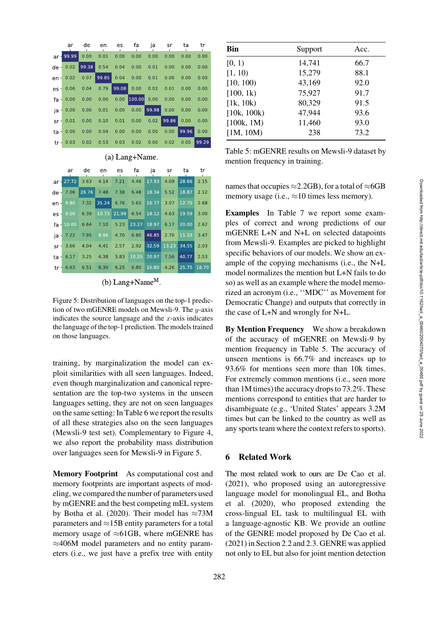| ar          | de    | en           | es    | fa            | ia    | sr    | ta    | tr    |
|-------------|-------|--------------|-------|---------------|-------|-------|-------|-------|
| ar 99.99    | 0.00  | 0.01         | 0.00  | 0.00          | 0.00  | 0.00  | 0.00  | 0.00  |
| de 0.02     | 99.38 | 0,54         | 0,04  | 0,00          | 0,01  | 0.00  | 0.00  | 0.00  |
| $en - 0.02$ |       | $0.07$ 99.85 | 0,04  | 0,00          | 0.01  | 0.00  | 0.00  | 0.00  |
| $es - 0.06$ | 0.04  | 0,79         | 99,08 | 0,00          | 0,02  | 0.01  | 0.00  | 0.00  |
| $fa = 0.00$ | 0,00  | 0,00         |       | $0.00$ 100.00 | 0,00  | 0.00  | 0.00  | 0.00  |
| $ia = 0.00$ | 0.00  | 0.01         | 0,00  | 0,00          | 99.98 | 0,00  | 0.00  | 0,00  |
| $sr$ 0.01   | 0,00  | 0,10         | 0.01  | 0,00          | 0.02  | 99,86 | 0.00  | 0,00  |
| $ta = 0.00$ | 0,00  | 0,04         | 0,00  | 0,00          | 0,00  | 0,00  | 99.96 | 0,00  |
| tr 0.03     |       | $0.02$ 0.53  | 0,03  | 0.02          | 0,00  | 0,02  | 0.05  | 99.29 |

### (a) Lang+Name.

|        | ar           | de    | en    | es    | fa    | ia    | sr    | ta     | tr    |
|--------|--------------|-------|-------|-------|-------|-------|-------|--------|-------|
|        | $ar - 27.72$ | 3.63  | 4.14  | 7.21  | 4.46  | 17.93 | 4.09  | 28.66  | 2.15  |
| $de -$ | 7.06         | 26.76 | 7.48  | 7.38  | 6.48  | 18.34 | 5.52  | 18.87  | 2.12  |
|        | $en - 9.80$  | 7,32  | 35,24 | 6,76  | 5,65  | 16,77 | 3,07  | 12,70  | 2,68  |
|        | $es - 9.00$  | 6,39  | 10,73 | 21,99 | 6,54  | 18,12 | 4.63  | 19,59  | 3,00  |
|        | $fa - 10.00$ | 6,64  | 7,10  | 5,23  | 23.27 | 18,97 | 6.17  | 20.00  | 2.62  |
|        | $ja - 7.22$  | 7,95  | 8,96  | 4,70  | 6.80  | 46.85 | 2.70  | 11.33  | 3.47  |
|        | $sr - 3.66$  | 4,04  | 4,41  | 2,57  | 2,92  | 32.59 | 13.23 | 34.55  | 2,03  |
|        | $ta = 6.17$  | 3,25  | 4,38  | 3,83  | 10,55 | 20.97 | 7.56  | 140.77 | 2.53  |
|        | $tr$ 6.63    | 6,51  | 8,30  | 6,25  | 6,80  | 16,80 | 4,26  | 25,75  | 18.70 |

### (b) Lang+Name $^{\text{M}}$ .

<span id="page-8-0"></span>Figure 5: Distribution of languages on the top-1 prediction of two mGENRE models on Mewsli-9. The y-axis indicates the source language and the  $x$ -axis indicates the language of the top-1 prediction. The models trained on those languages.

training, by marginalization the model can exploit similarities with all seen languages. Indeed, even though marginalization and canonical representation are the top-two systems in the unseen languages setting, they are not on seen languages on the same setting: In [Table 6](#page-9-0) we report the results of all these strategies also on the seen languages (Mewsli-9 test set). Complementary to [Figure 4,](#page-7-1) we also report the probability mass distribution over languages seen for Mewsli-9 in [Figure 5.](#page-8-0)

Memory Footprint As computational cost and memory footprints are important aspects of modeling, we compared the number of parameters used by mGENRE and the best competing mEL system by [Botha et al.](#page-10-6) [\(2020](#page-10-6)). Their model has  $\approx$ 73M parameters and  $\approx$ 15B entity parameters for a total memory usage of  $\approx$ 61GB, where mGENRE has ≈406M model parameters and no entity parameters (i.e., we just have a prefix tree with entity

| <b>Bin</b>  | Support | Acc. |
|-------------|---------|------|
| [0, 1)      | 14,741  | 66.7 |
| [1, 10)     | 15,279  | 88.1 |
| [10, 100)   | 43,169  | 92.0 |
| [100, 1k)   | 75,927  | 91.7 |
| [1k, 10k)   | 80,329  | 91.5 |
| [10k, 100k) | 47,944  | 93.6 |
| [100k, 1M)  | 11,460  | 93.0 |
| [1M, 10M)   | 238     | 73.2 |
|             |         |      |

<span id="page-8-1"></span>Table 5: mGENRE results on Mewsli-9 dataset by mention frequency in training.

names that occupies  $\approx$  2.2GB), for a total of  $\approx$ 6GB memory usage (i.e.,  $\approx$ 10 times less memory).

Examples In [Table 7](#page-9-1) we report some examples of correct and wrong predictions of our mGENRE L+N and N+L on selected datapoints from Mewsli-9. Examples are picked to highlight specific behaviors of our models. We show an example of the copying mechanisms (i.e., the N+L model normalizes the mention but L+N fails to do so) as well as an example where the model memorized an acronym (i.e., ''MDC'' as Movement for Democratic Change) and outputs that correctly in the case of L+N and wrongly for N+L.

By Mention Frequency We show a breakdown of the accuracy of mGENRE on Mewsli-9 by mention frequency in [Table 5.](#page-8-1) The accuracy of unseen mentions is 66.7% and increases up to 93.6% for mentions seen more than 10k times. For extremely common mentions (i.e., seen more than 1M times) the accuracy drops to 73.2%. These mentions correspond to entities that are harder to disambiguate (e.g., 'United States' appears 3.2M times but can be linked to the country as well as any sports team where the context refers to sports).

### 6 Related Work

The most related work to ours are [De Cao et al.](#page-11-9) [\(2021\)](#page-11-7), who proposed using an autoregressive language model for monolingual EL, and [Botha](#page-10-7) [et al.](#page-10-7) [\(2020\)](#page-10-6), who proposed extending the cross-lingual EL task to multilingual EL with a language-agnostic KB. We provide an outline of the GENRE model proposed by [De Cao et al.](#page-11-7) [\(2021\)](#page-11-7) in Section [2.2](#page-2-0) and [2.3.](#page-2-1) GENRE was applied not only to EL but also for joint mention detection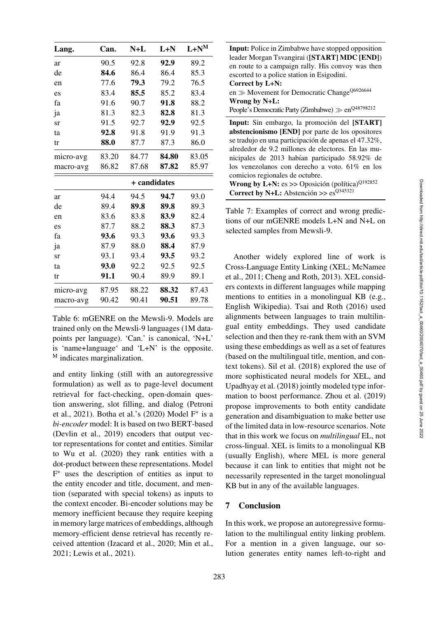| Lang.     | Can.  | $N+L$        | $L+N$ | $L+N^M$ |
|-----------|-------|--------------|-------|---------|
| ar        | 90.5  | 92.8         | 92.9  | 89.2    |
| de        | 84.6  | 86.4         | 86.4  | 85.3    |
| en        | 77.6  | 79.3         | 79.2  | 76.5    |
| es        | 83.4  | 85.5         | 85.2  | 83.4    |
| fa        | 91.6  | 90.7         | 91.8  | 88.2    |
| ja        | 81.3  | 82.3         | 82.8  | 81.3    |
| sr        | 91.5  | 92.7         | 92.9  | 92.5    |
| ta        | 92.8  | 91.8         | 91.9  | 91.3    |
| tr        | 88.0  | 87.7         | 87.3  | 86.0    |
| micro-avg | 83.20 | 84.77        | 84.80 | 83.05   |
| macro-avg | 86.82 | 87.68        | 87.82 | 85.97   |
|           |       | + candidates |       |         |
| ar        | 94.4  | 94.5         | 94.7  | 93.0    |
| de        | 89.4  | 89.8         | 89.8  | 89.3    |
| en        | 83.6  | 83.8         | 83.9  | 82.4    |
| es        | 87.7  | 88.2         | 88.3  | 87.3    |
| fa        | 93.6  | 93.3         | 93.6  | 93.3    |
| ja        | 87.9  | 88.0         | 88.4  | 87.9    |
| sr        | 93.1  | 93.4         | 93.5  | 93.2    |
| ta        | 93.0  | 92.2         | 92.5  | 92.5    |
| tr        | 91.1  | 90.4         | 89.9  | 89.1    |
| micro-avg | 87.95 | 88.22        | 88.32 | 87.43   |
| macro-avg | 90.42 | 90.41        | 90.51 | 89.78   |

<span id="page-9-0"></span>Table 6: mGENRE on the Mewsli-9. Models are trained only on the Mewsli-9 languages (1M datapoints per language). 'Can.' is canonical, 'N+L' is 'name+language' and 'L+N' is the opposite. <sup>M</sup> indicates marginalization.

and entity linking (still with an autoregressive formulation) as well as to page-level document retrieval for fact-checking, open-domain question answering, slot filling, and dialog (Petroni et al., [2021](#page-12-9)). [Botha et al.'](#page-10-6)s [\(2020\)](#page-10-6) Model  $F^+$  is a *bi-encoder* model: It is based on two BERT-based [\(Devlin et al.](#page-11-10), [2019\)](#page-11-10) encoders that output vector representations for contet and entities. Similar to [Wu et al.](#page-13-3) [\(2020](#page-13-3)) they rank entities with a dot-product between these representations. Model  $F<sup>+</sup>$  uses the description of entities as input to the entity encoder and title, document, and mention (separated with special tokens) as inputs to the context encoder. Bi-encoder solutions may be memory inefficient because they require keeping in memory large matrices of embeddings, although memory-efficient dense retrieval has recently received attention [\(Izacard et al.](#page-11-11), [2020;](#page-11-11) [Min et al.,](#page-12-10) [2021](#page-12-10); [Lewis et al., 2021](#page-11-12)).

| <b>Input:</b> Police in Zimbabwe have stopped opposition<br>leader Morgan Tsvangirai ([START] MDC [END])<br>en route to a campaign rally. His convoy was then<br>escorted to a police station in Esigodini.<br>Correct by L+N:<br>en $\gg$ Movement for Democratic Change <sup>Q6926644</sup><br>Wrong by N+L:<br>People's Democratic Party (Zimbabwe) $\gg$ en <sup>Q48798212</sup>                                                                                    |
|-------------------------------------------------------------------------------------------------------------------------------------------------------------------------------------------------------------------------------------------------------------------------------------------------------------------------------------------------------------------------------------------------------------------------------------------------------------------------|
| Input: Sin embargo, la promoción del [START]<br>abstencionismo [END] por parte de los opositores<br>se tradujo en una participación de apenas el 47.32%,<br>alrededor de 9.2 millones de electores. En las mu-<br>nicipales de 2013 habían participado 58.92% de<br>los venezolanos con derecho a voto. 61% en los<br>comicios regionales de octubre.<br>Wrong by L+N: es >> Oposición (política) $Q$ <sup>192852</sup><br>Correct by N+L: Abstención >> $es^{Q345321}$ |

<span id="page-9-1"></span>Table 7: Examples of correct and wrong predictions of our mGENRE models L+N and N+L on selected samples from Mewsli-9.

Another widely explored line of work is Cross-Language Entity Linking (XEL; [McNamee](#page-11-13) [et al.,](#page-11-13) [2011;](#page-12-3) [Cheng and Roth, 2013](#page-10-8)). XEL considers contexts in different languages while mapping mentions to entities in a monolingual KB (e.g., English Wikipedia). [Tsai and Roth](#page-13-4) [\(2016](#page-13-4)) used alignments between languages to train multilingual entity embeddings. They used candidate selection and then they re-rank them with an SVM using these embeddings as well as a set of features (based on the multilingual title, mention, and context tokens). [Sil et al.](#page-12-8) [\(2018](#page-12-8)) explored the use of more sophisticated neural models for XEL, and [Upadhyay et al.](#page-13-11) [\(2018](#page-13-11)) jointly modeled type information to boost performance. [Zhou et al.](#page-13-12) [\(2019\)](#page-13-12) propose improvements to both entity candidate generation and disambiguation to make better use of the limited data in low-resource scenarios. Note that in this work we focus on *multilingual* EL, not cross-lingual. XEL is limits to a monolingual KB (usually English), where MEL is more general because it can link to entities that might not be necessarily represented in the target monolingual KB but in any of the available languages.

## 7 Conclusion

In this work, we propose an autoregressive formulation to the multilingual entity linking problem. For a mention in a given language, our solution generates entity names left-to-right and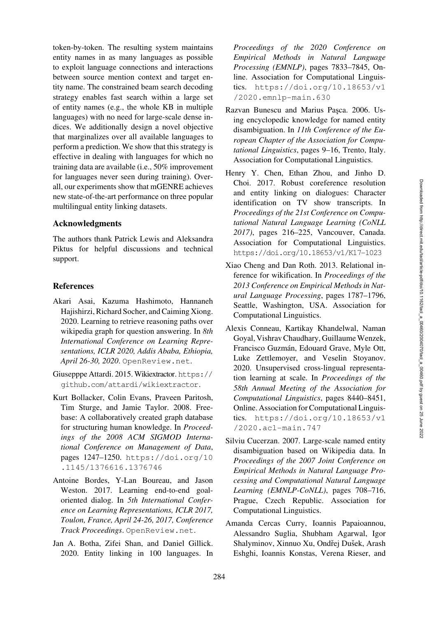token-by-token. The resulting system maintains entity names in as many languages as possible to exploit language connections and interactions between source mention context and target entity name. The constrained beam search decoding strategy enables fast search within a large set of entity names (e.g., the whole KB in multiple languages) with no need for large-scale dense indices. We additionally design a novel objective that marginalizes over all available languages to perform a prediction. We show that this strategy is effective in dealing with languages for which no training data are available (i.e., 50% improvement for languages never seen during training). Overall, our experiments show that mGENRE achieves new state-of-the-art performance on three popular multilingual entity linking datasets.

## Acknowledgments

The authors thank Patrick Lewis and Aleksandra Piktus for helpful discussions and technical support.

#### References

- <span id="page-10-2"></span>Akari Asai, Kazuma Hashimoto, Hannaneh Hajishirzi, Richard Socher, and Caiming Xiong. 2020. Learning to retrieve reasoning paths over wikipedia graph for question answering. In *8th International Conference on Learning Representations, ICLR 2020, Addis Ababa, Ethiopia, April 26-30, 2020*. <OpenReview.net>.
- <span id="page-10-10"></span>Giusepppe Attardi. 2015. Wikiextractor. [https://](https://github.com/attardi/wikiextractor) [github.com/attardi/wikiextractor](https://github.com/attardi/wikiextractor).
- <span id="page-10-11"></span>Kurt Bollacker, Colin Evans, Praveen Paritosh, Tim Sturge, and Jamie Taylor. 2008. Freebase: A collaboratively created graph database for structuring human knowledge. In *Proceedings of the 2008 ACM SIGMOD International Conference on Management of Data*, pages 1247–1250. [https://doi.org/10](https://doi.org/10.1145/1376616.1376746) [.1145/1376616.1376746](https://doi.org/10.1145/1376616.1376746)
- <span id="page-10-3"></span>Antoine Bordes, Y-Lan Boureau, and Jason Weston. 2017. Learning end-to-end goaloriented dialog. In *5th International Conference on Learning Representations, ICLR 2017, Toulon, France, April 24-26, 2017, Conference Track Proceedings*. <OpenReview.net>.
- <span id="page-10-7"></span><span id="page-10-6"></span>Jan A. Botha, Zifei Shan, and Daniel Gillick. 2020. Entity linking in 100 languages. In

*Proceedings of the 2020 Conference on Empirical Methods in Natural Language Processing (EMNLP)*, pages 7833–7845, Online. Association for Computational Linguistics. [https://doi.org/10.18653/v1](https://doi.org/10.18653/v1/2020.emnlp-main.630) [/2020.emnlp-main.630](https://doi.org/10.18653/v1/2020.emnlp-main.630)

- <span id="page-10-0"></span>Razvan Bunescu and Marius Pasca. 2006. Using encyclopedic knowledge for named entity disambiguation. In *11th Conference of the European Chapter of the Association for Computational Linguistics*, pages 9–16, Trento, Italy. Association for Computational Linguistics.
- <span id="page-10-4"></span>Henry Y. Chen, Ethan Zhou, and Jinho D. Choi. 2017. Robust coreference resolution and entity linking on dialogues: Character identification on TV show transcripts. In *Proceedings of the 21st Conference on Computational Natural Language Learning (CoNLL 2017)*, pages 216–225, Vancouver, Canada. Association for Computational Linguistics. <https://doi.org/10.18653/v1/K17-1023>
- <span id="page-10-8"></span>Xiao Cheng and Dan Roth. 2013. Relational inference for wikification. In *Proceedings of the 2013 Conference on Empirical Methods in Natural Language Processing*, pages 1787–1796, Seattle, Washington, USA. Association for Computational Linguistics.
- <span id="page-10-9"></span>Alexis Conneau, Kartikay Khandelwal, Naman Goyal, Vishrav Chaudhary, Guillaume Wenzek, Francisco Guzmán, Edouard Grave, Myle Ott, Luke Zettlemoyer, and Veselin Stoyanov. 2020. Unsupervised cross-lingual representation learning at scale. In *Proceedings of the 58th Annual Meeting of the Association for Computational Linguistics*, pages 8440–8451, Online. Association for Computational Linguistics. [https://doi.org/10.18653/v1](https://doi.org/10.18653/v1/2020.acl-main.747) [/2020.acl-main.747](https://doi.org/10.18653/v1/2020.acl-main.747)
- <span id="page-10-1"></span>Silviu Cucerzan. 2007. Large-scale named entity disambiguation based on Wikipedia data. In *Proceedings of the 2007 Joint Conference on Empirical Methods in Natural Language Processing and Computational Natural Language Learning (EMNLP-CoNLL)*, pages 708–716, Prague, Czech Republic. Association for Computational Linguistics.
- <span id="page-10-5"></span>Amanda Cercas Curry, Ioannis Papaioannou, Alessandro Suglia, Shubham Agarwal, Igor Shalyminov, Xinnuo Xu, Ondřej Dušek, Arash Eshghi, Ioannis Konstas, Verena Rieser, and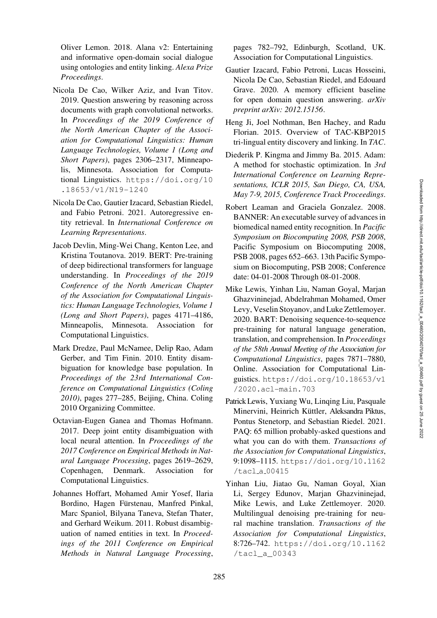Oliver Lemon. 2018. Alana v2: Entertaining and informative open-domain social dialogue using ontologies and entity linking. *Alexa Prize Proceedings*.

- <span id="page-11-2"></span>Nicola De Cao, Wilker Aziz, and Ivan Titov. 2019. Question answering by reasoning across documents with graph convolutional networks. In *Proceedings of the 2019 Conference of the North American Chapter of the Association for Computational Linguistics: Human Language Technologies, Volume 1 (Long and Short Papers)*, pages 2306–2317, Minneapolis, Minnesota. Association for Computational Linguistics. [https://doi.org/10](https://doi.org/10.18653/v1/N19-1240) [.18653/v1/N19-1240](https://doi.org/10.18653/v1/N19-1240)
- <span id="page-11-9"></span><span id="page-11-7"></span>Nicola De Cao, Gautier Izacard, Sebastian Riedel, and Fabio Petroni. 2021. Autoregressive entity retrieval. In *International Conference on Learning Representations*.
- <span id="page-11-10"></span>Jacob Devlin, Ming-Wei Chang, Kenton Lee, and Kristina Toutanova. 2019. BERT: Pre-training of deep bidirectional transformers for language understanding. In *Proceedings of the 2019 Conference of the North American Chapter of the Association for Computational Linguistics: Human Language Technologies, Volume 1 (Long and Short Papers)*, pages 4171–4186, Minneapolis, Minnesota. Association for Computational Linguistics.
- <span id="page-11-1"></span>Mark Dredze, Paul McNamee, Delip Rao, Adam Gerber, and Tim Finin. 2010. Entity disambiguation for knowledge base population. In *Proceedings of the 23rd International Conference on Computational Linguistics (Coling 2010)*, pages 277–285, Beijing, China. Coling 2010 Organizing Committee.
- <span id="page-11-15"></span>Octavian-Eugen Ganea and Thomas Hofmann. 2017. Deep joint entity disambiguation with local neural attention. In *Proceedings of the 2017 Conference on Empirical Methods in Natural Language Processing*, pages 2619–2629, Copenhagen, Denmark. Association for Computational Linguistics.
- <span id="page-11-0"></span>Johannes Hoffart, Mohamed Amir Yosef, Ilaria Bordino, Hagen Fürstenau, Manfred Pinkal, Marc Spaniol, Bilyana Taneva, Stefan Thater, and Gerhard Weikum. 2011. Robust disambiguation of named entities in text. In *Proceedings of the 2011 Conference on Empirical Methods in Natural Language Processing*,

pages 782–792, Edinburgh, Scotland, UK. Association for Computational Linguistics.

- <span id="page-11-11"></span>Gautier Izacard, Fabio Petroni, Lucas Hosseini, Nicola De Cao, Sebastian Riedel, and Edouard Grave. 2020. A memory efficient baseline for open domain question answering. *arXiv preprint arXiv: 2012.15156*.
- <span id="page-11-6"></span><span id="page-11-5"></span>Heng Ji, Joel Nothman, Ben Hachey, and Radu Florian. 2015. Overview of TAC-KBP2015 tri-lingual entity discovery and linking. In *TAC*.
- <span id="page-11-16"></span>Diederik P. Kingma and Jimmy Ba. 2015. Adam: A method for stochastic optimization. In *3rd International Conference on Learning Representations, ICLR 2015, San Diego, CA, USA, May 7-9, 2015, Conference Track Proceedings*.
- <span id="page-11-4"></span><span id="page-11-3"></span>Robert Leaman and Graciela Gonzalez. 2008. BANNER: An executable survey of advances in biomedical named entity recognition. In *Pacific Symposium on Biocomputing 2008, PSB 2008*, Pacific Symposium on Biocomputing 2008, PSB 2008, pages 652–663. 13th Pacific Symposium on Biocomputing, PSB 2008; Conference date: 04-01-2008 Through 08-01-2008.
- <span id="page-11-8"></span>Mike Lewis, Yinhan Liu, Naman Goyal, Marjan Ghazvininejad, Abdelrahman Mohamed, Omer Levy, Veselin Stoyanov, and Luke Zettlemoyer. 2020. BART: Denoising sequence-to-sequence pre-training for natural language generation, translation, and comprehension. In *Proceedings of the 58th Annual Meeting of the Association for Computational Linguistics*, pages 7871–7880, Online. Association for Computational Linguistics. [https://doi.org/10.18653/v1](https://doi.org/10.18653/v1/2020.acl-main.703) [/2020.acl-main.703](https://doi.org/10.18653/v1/2020.acl-main.703)
- <span id="page-11-12"></span>Patrick Lewis, Yuxiang Wu, Linqing Liu, Pasquale Minervini, Heinrich Küttler, Aleksandra Piktus, Pontus Stenetorp, and Sebastian Riedel. 2021. PAQ: 65 million probably-asked questions and what you can do with them. *Transactions of the Association for Computational Linguistics*, 9:1098–1115. [https://doi.org/10.1162](https://doi.org/10.1162/tacl_a_00415) /tacl a [00415](https://doi.org/10.1162/tacl_a_00415)
- <span id="page-11-14"></span><span id="page-11-13"></span>Yinhan Liu, Jiatao Gu, Naman Goyal, Xian Li, Sergey Edunov, Marjan Ghazvininejad, Mike Lewis, and Luke Zettlemoyer. 2020. Multilingual denoising pre-training for neural machine translation. *Transactions of the Association for Computational Linguistics*, 8:726–742. [https://doi.org/10.1162](https://doi.org/10.1162/tacl_a_00343) [/tacl\\_a\\_00343](https://doi.org/10.1162/tacl_a_00343)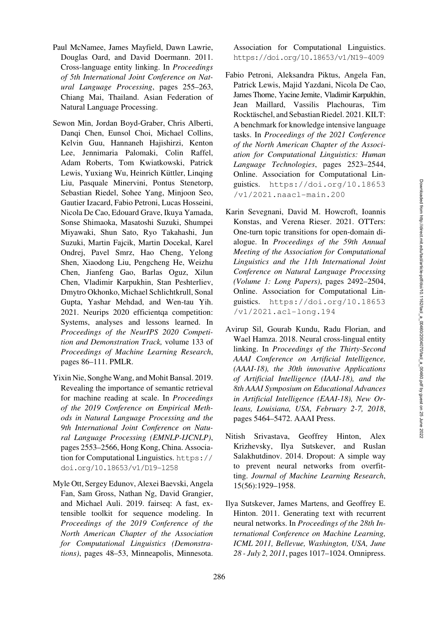- <span id="page-12-3"></span>Paul McNamee, James Mayfield, Dawn Lawrie, Douglas Oard, and David Doermann. 2011. Cross-language entity linking. In *Proceedings of 5th International Joint Conference on Natural Language Processing*, pages 255–263, Chiang Mai, Thailand. Asian Federation of Natural Language Processing.
- <span id="page-12-10"></span>Sewon Min, Jordan Boyd-Graber, Chris Alberti, Danqi Chen, Eunsol Choi, Michael Collins, Kelvin Guu, Hannaneh Hajishirzi, Kenton Lee, Jennimaria Palomaki, Colin Raffel, Adam Roberts, Tom Kwiatkowski, Patrick Lewis, Yuxiang Wu, Heinrich Küttler, Linging Liu, Pasquale Minervini, Pontus Stenetorp, Sebastian Riedel, Sohee Yang, Minjoon Seo, Gautier Izacard, Fabio Petroni, Lucas Hosseini, Nicola De Cao, Edouard Grave, Ikuya Yamada, Sonse Shimaoka, Masatoshi Suzuki, Shumpei Miyawaki, Shun Sato, Ryo Takahashi, Jun Suzuki, Martin Fajcik, Martin Docekal, Karel Ondrej, Pavel Smrz, Hao Cheng, Yelong Shen, Xiaodong Liu, Pengcheng He, Weizhu Chen, Jianfeng Gao, Barlas Oguz, Xilun Chen, Vladimir Karpukhin, Stan Peshterliev, Dmytro Okhonko, Michael Schlichtkrull, Sonal Gupta, Yashar Mehdad, and Wen-tau Yih. 2021. Neurips 2020 efficientqa competition: Systems, analyses and lessons learned. In *Proceedings of the NeurIPS 2020 Competition and Demonstration Track,* volume 133 of *Proceedings of Machine Learning Research*, pages 86–111. PMLR.
- <span id="page-12-0"></span>Yixin Nie, Songhe Wang, and Mohit Bansal. 2019. Revealing the importance of semantic retrieval for machine reading at scale. In *Proceedings of the 2019 Conference on Empirical Methods in Natural Language Processing and the 9th International Joint Conference on Natural Language Processing (EMNLP-IJCNLP)*, pages 2553–2566, Hong Kong, China. Association for Computational Linguistics. [https://](https://doi.org/10.18653/v1/D19-1258) [doi.org/10.18653/v1/D19-1258](https://doi.org/10.18653/v1/D19-1258)
- <span id="page-12-11"></span>Myle Ott, Sergey Edunov, Alexei Baevski, Angela Fan, Sam Gross, Nathan Ng, David Grangier, and Michael Auli. 2019. fairseq: A fast, extensible toolkit for sequence modeling. In *Proceedings of the 2019 Conference of the North American Chapter of the Association for Computational Linguistics (Demonstrations)*, pages 48–53, Minneapolis, Minnesota.

Association for Computational Linguistics. <https://doi.org/10.18653/v1/N19-4009>

- <span id="page-12-9"></span>Fabio Petroni, Aleksandra Piktus, Angela Fan, Patrick Lewis, Majid Yazdani, Nicola De Cao, James Thorne, Yacine Jernite, Vladimir Karpukhin, Jean Maillard, Vassilis Plachouras, Tim Rocktäschel, and Sebastian Riedel. 2021. KILT: A benchmark for knowledge intensive language tasks. In *Proceedings of the 2021 Conference of the North American Chapter of the Association for Computational Linguistics: Human Language Technologies*, pages 2523–2544, Online. Association for Computational Linguistics. [https://doi.org/10.18653](https://doi.org/10.18653/v1/2021.naacl-main.200) [/v1/2021.naacl-main.200](https://doi.org/10.18653/v1/2021.naacl-main.200)
- <span id="page-12-2"></span><span id="page-12-1"></span>Karin Sevegnani, David M. Howcroft, Ioannis Konstas, and Verena Rieser. 2021. OTTers: One-turn topic transitions for open-domain dialogue. In *Proceedings of the 59th Annual Meeting of the Association for Computational Linguistics and the 11th International Joint Conference on Natural Language Processing (Volume 1: Long Papers)*, pages 2492–2504, Online. Association for Computational Linguistics. [https://doi.org/10.18653](https://doi.org/10.18653/v1/2021.acl-long.194) [/v1/2021.acl-long.194](https://doi.org/10.18653/v1/2021.acl-long.194)
- <span id="page-12-8"></span><span id="page-12-7"></span>Avirup Sil, Gourab Kundu, Radu Florian, and Wael Hamza. 2018. Neural cross-lingual entity linking. In *Proceedings of the Thirty-Second AAAI Conference on Artificial Intelligence, (AAAI-18), the 30th innovative Applications of Artificial Intelligence (IAAI-18), and the 8th AAAI Symposium on Educational Advances in Artificial Intelligence (EAAI-18), New Orleans, Louisiana, USA, February 2-7, 2018*, pages 5464–5472. AAAI Press.
- <span id="page-12-6"></span>Nitish Srivastava, Geoffrey Hinton, Alex Krizhevsky, Ilya Sutskever, and Ruslan Salakhutdinov. 2014. Dropout: A simple way to prevent neural networks from overfitting. *Journal of Machine Learning Research*, 15(56):1929–1958.
- <span id="page-12-5"></span><span id="page-12-4"></span>Ilya Sutskever, James Martens, and Geoffrey E. Hinton. 2011. Generating text with recurrent neural networks. In *Proceedings of the 28th International Conference on Machine Learning, ICML 2011, Bellevue, Washington, USA, June 28 - July 2, 2011*, pages 1017–1024. Omnipress.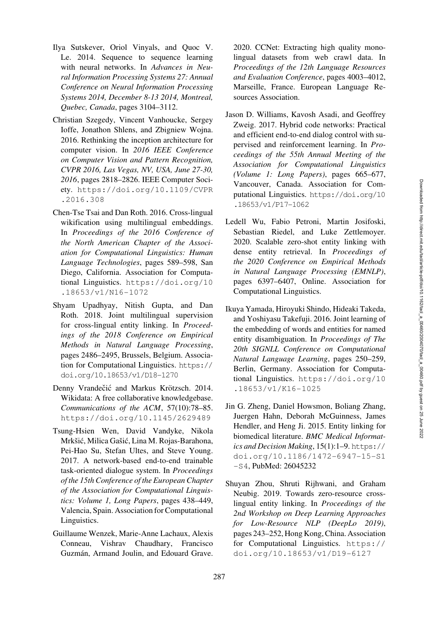- <span id="page-13-6"></span>Ilya Sutskever, Oriol Vinyals, and Quoc V. Le. 2014. Sequence to sequence learning with neural networks. In *Advances in Neural Information Processing Systems 27: Annual Conference on Neural Information Processing Systems 2014, December 8-13 2014, Montreal, Quebec, Canada*, pages 3104–3112.
- <span id="page-13-7"></span>Christian Szegedy, Vincent Vanhoucke, Sergey Ioffe, Jonathon Shlens, and Zbigniew Wojna. 2016. Rethinking the inception architecture for computer vision. In *2016 IEEE Conference on Computer Vision and Pattern Recognition, CVPR 2016, Las Vegas, NV, USA, June 27-30, 2016*, pages 2818–2826. IEEE Computer Society. [https://doi.org/10.1109/CVPR](https://doi.org/10.1109/CVPR.2016.308) [.2016.308](https://doi.org/10.1109/CVPR.2016.308)
- <span id="page-13-8"></span><span id="page-13-4"></span>Chen-Tse Tsai and Dan Roth. 2016. Cross-lingual wikification using multilingual embeddings. In *Proceedings of the 2016 Conference of the North American Chapter of the Association for Computational Linguistics: Human Language Technologies*, pages 589–598, San Diego, California. Association for Computational Linguistics. [https://doi.org/10](https://doi.org/10.18653/v1/N16-1072) [.18653/v1/N16-1072](https://doi.org/10.18653/v1/N16-1072)
- <span id="page-13-11"></span><span id="page-13-9"></span>Shyam Upadhyay, Nitish Gupta, and Dan Roth. 2018. Joint multilingual supervision for cross-lingual entity linking. In *Proceedings of the 2018 Conference on Empirical Methods in Natural Language Processing*, pages 2486–2495, Brussels, Belgium. Association for Computational Linguistics. [https://](https://doi.org/10.18653/v1/D18-1270) [doi.org/10.18653/v1/D18-1270](https://doi.org/10.18653/v1/D18-1270)
- <span id="page-13-5"></span>Denny Vrandečić and Markus Krötzsch. 2014. Wikidata: A free collaborative knowledgebase. *Communications of the ACM*, 57(10):78–85. <https://doi.org/10.1145/2629489>
- <span id="page-13-0"></span>Tsung-Hsien Wen, David Vandyke, Nikola Mrkšić, Milica Gašić, Lina M. Rojas-Barahona, Pei-Hao Su, Stefan Ultes, and Steve Young. 2017. A network-based end-to-end trainable task-oriented dialogue system. In *Proceedings of the 15th Conference of the European Chapter of the Association for Computational Linguistics: Volume 1, Long Papers*, pages 438–449, Valencia, Spain. Association for Computational Linguistics.
- <span id="page-13-13"></span>Guillaume Wenzek, Marie-Anne Lachaux, Alexis Conneau, Vishrav Chaudhary, Francisco Guzmán, Armand Joulin, and Edouard Grave.

2020. CCNet: Extracting high quality monolingual datasets from web crawl data. In *Proceedings of the 12th Language Resources and Evaluation Conference*, pages 4003–4012, Marseille, France. European Language Resources Association.

- <span id="page-13-1"></span>Jason D. Williams, Kavosh Asadi, and Geoffrey Zweig. 2017. Hybrid code networks: Practical and efficient end-to-end dialog control with supervised and reinforcement learning. In *Proceedings of the 55th Annual Meeting of the Association for Computational Linguistics (Volume 1: Long Papers)*, pages 665–677, Vancouver, Canada. Association for Computational Linguistics. [https://doi.org/10](https://doi.org/10.18653/v1/P17-1062) [.18653/v1/P17-1062](https://doi.org/10.18653/v1/P17-1062)
- <span id="page-13-3"></span>Ledell Wu, Fabio Petroni, Martin Josifoski, Sebastian Riedel, and Luke Zettlemoyer. 2020. Scalable zero-shot entity linking with dense entity retrieval. In *Proceedings of the 2020 Conference on Empirical Methods in Natural Language Processing (EMNLP)*, pages 6397–6407, Online. Association for Computational Linguistics.
- <span id="page-13-15"></span><span id="page-13-14"></span>Ikuya Yamada, Hiroyuki Shindo, Hideaki Takeda, and Yoshiyasu Takefuji. 2016. Joint learning of the embedding of words and entities for named entity disambiguation. In *Proceedings of The 20th SIGNLL Conference on Computational Natural Language Learning*, pages 250–259, Berlin, Germany. Association for Computational Linguistics. [https://doi.org/10](https://doi.org/10.18653/v1/K16-1025) [.18653/v1/K16-1025](https://doi.org/10.18653/v1/K16-1025)
- <span id="page-13-2"></span>Jin G. Zheng, Daniel Howsmon, Boliang Zhang, Juergen Hahn, Deborah McGuinness, James Hendler, and Heng Ji. 2015. Entity linking for biomedical literature. *BMC Medical Informatics and Decision Making*, 15(1):1–9. [https://](https://doi.org/10.1186/1472-6947-15-S1-S4) [doi.org/10.1186/1472-6947-15-S1](https://doi.org/10.1186/1472-6947-15-S1-S4) [-S4](https://doi.org/10.1186/1472-6947-15-S1-S4), PubMed: [26045232](https://pubmed.ncbi.nlm.nih.gov/26045232)
- <span id="page-13-12"></span><span id="page-13-10"></span>Shuyan Zhou, Shruti Rijhwani, and Graham Neubig. 2019. Towards zero-resource crosslingual entity linking. In *Proceedings of the 2nd Workshop on Deep Learning Approaches for Low-Resource NLP (DeepLo 2019)*, pages 243–252, Hong Kong, China. Association for Computational Linguistics. [https://](https://doi.org/10.18653/v1/D19-6127) [doi.org/10.18653/v1/D19-6127](https://doi.org/10.18653/v1/D19-6127)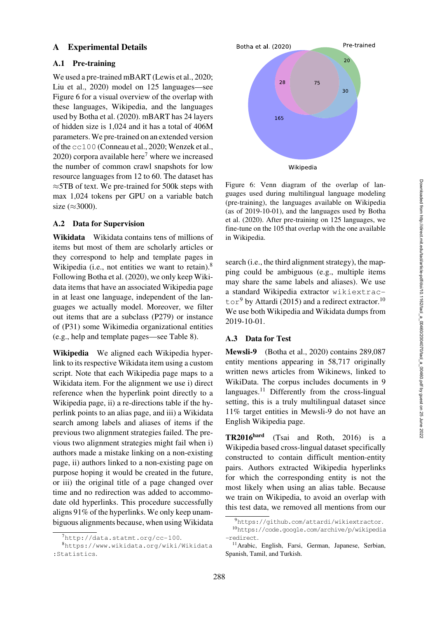## <span id="page-14-0"></span>A Experimental Details

#### A.1 Pre-training

We used a pre-trained mBART [\(Lewis et al., 2020](#page-11-8); [Liu et al.](#page-11-14), [2020](#page-11-14)) model on 125 languages—see [Figure 6](#page-14-2) for a visual overview of the overlap with these languages, Wikipedia, and the languages used by [Botha et al.](#page-10-6) [\(2020](#page-10-6)). mBART has 24 layers of hidden size is 1,024 and it has a total of 406M parameters. We pre-trained on an extended version of the cc100 [\(Conneau et al., 2020](#page-10-9); [Wenzek et al.,](#page-13-13) [2020](#page-13-13)) corpora available here<sup>7</sup> where we increased the number of common crawl snapshots for low resource languages from 12 to 60. The dataset has ≈5TB of text. We pre-trained for 500k steps with max 1,024 tokens per GPU on a variable batch size  $(\approx 3000)$ .

### A.2 Data for Supervision

Wikidata Wikidata contains tens of millions of items but most of them are scholarly articles or they correspond to help and template pages in Wikipedia (i.e., not entities we want to retain).<sup>8</sup> Following [Botha et al.](#page-10-6) [\(2020](#page-10-6)), we only keep Wikidata items that have an associated Wikipedia page in at least one language, independent of the languages we actually model. Moreover, we filter out items that are a subclass (P279) or instance of (P31) some Wikimedia organizational entities (e.g., help and template pages—see [Table 8\)](#page-15-1).

Wikipedia We aligned each Wikipedia hyperlink to its respective Wikidata item using a custom script. Note that each Wikipedia page maps to a Wikidata item. For the alignment we use i) direct reference when the hyperlink point directly to a Wikipedia page, ii) a re-directions table if the hyperlink points to an alias page, and iii) a Wikidata search among labels and aliases of items if the previous two alignment strategies failed. The previous two alignment strategies might fail when i) authors made a mistake linking on a non-existing page, ii) authors linked to a non-existing page on purpose hoping it would be created in the future, or iii) the original title of a page changed over time and no redirection was added to accommodate old hyperlinks. This procedure successfully aligns 91% of the hyperlinks. We only keep unambiguous alignments because, when using Wikidata



<span id="page-14-2"></span>Figure 6: Venn diagram of the overlap of languages used during multilingual language modeling (pre-training), the languages available on Wikipedia (as [of 2019-10-01\), and the languages used by](#page-10-6) Botha et al. [\(2020\)](#page-10-6). After pre-training on 125 languages, we fine-tune on the 105 that overlap with the one available in Wikipedia.

search (i.e., the third alignment strategy), the mapping could be ambiguous (e.g., multiple items may share the same labels and aliases). We use a standard Wikipedia extractor wikiextrac- $\text{tor}^9$  $\text{tor}^9$  by [Attardi](#page-10-10) [\(2015](#page-10-10)) and a redirect extractor.<sup>10</sup> We use both Wikipedia and Wikidata dumps from 2019-10-01.

### <span id="page-14-1"></span>A.3 Data for Test

Mewsli-9 [\(Botha et al., 2020](#page-10-6)) contains 289,087 entity mentions appearing in 58,717 originally written news articles from Wikinews, linked to WikiData. The corpus includes documents in 9 languages.<sup>11</sup> Differently from the cross-lingual setting, this is a truly multilingual dataset since 11% target entities in Mewsli-9 do not have an English Wikipedia page.

TR2016hard [\(Tsai and Roth](#page-13-4), [2016](#page-13-4)) is a Wikipedia based cross-lingual dataset specifically constructed to contain difficult mention-entity pairs. Authors extracted Wikipedia hyperlinks for which the corresponding entity is not the most likely when using an alias table. Because we train on Wikipedia, to avoid an overlap with this test data, we removed all mentions from our

<span id="page-14-3"></span><sup>7</sup><http://data.statmt.org/cc-100>.

<span id="page-14-4"></span><sup>8</sup>[https://www.wikidata.org/wiki/Wikidata](https://www.wikidata.org/wiki/Wikidata:Statistics) [:Statistics](https://www.wikidata.org/wiki/Wikidata:Statistics).

<span id="page-14-5"></span><sup>9</sup><https://github.com/attardi/wikiextractor>.

<span id="page-14-6"></span><sup>10</sup>[https://code.google.com/archive/p/wikipedia](https://code.google.com/archive/p/wikipedia-redirect) [-redirect](https://code.google.com/archive/p/wikipedia-redirect).

<span id="page-14-7"></span><sup>11</sup>Arabic, English, Farsi, German, Japanese, Serbian, Spanish, Tamil, and Turkish.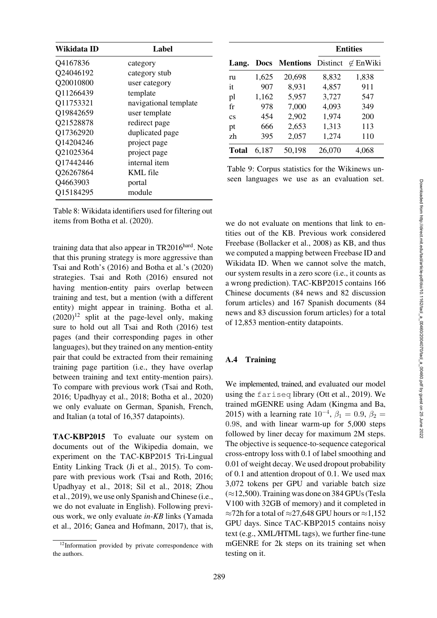| Wikidata ID | Label                 |
|-------------|-----------------------|
| Q4167836    | category              |
| Q24046192   | category stub         |
| Q20010800   | user category         |
| Q11266439   | template              |
| Q11753321   | navigational template |
| Q19842659   | user template         |
| Q21528878   | redirect page         |
| Q17362920   | duplicated page       |
| Q14204246   | project page          |
| Q21025364   | project page          |
| Q17442446   | internal item         |
| Q26267864   | KML file              |
| Q4663903    | portal                |
| Q15184295   | module                |

<span id="page-15-1"></span>Table 8: Wikidata identifiers used for filtering out items from [Botha et al.](#page-10-6) [\(2020](#page-10-6)).

training data that also appear in  $TR2016<sup>hard</sup>$ . Note that this pruning strategy is more aggressive than [Tsai and Roth'](#page-13-4)s [\(2016\)](#page-13-4) and [Botha et al.'](#page-10-6)s [\(2020\)](#page-10-6) strategies. [Tsai and Roth](#page-13-4) [\(2016\)](#page-13-4) ensured not having mention-entity pairs overlap between training and test, but a mention (with a different entity) might appear in training. [Botha et al.](#page-10-6)  $(2020)^{12}$  $(2020)^{12}$  split at the page-level only, making sure to hold out all [Tsai and Roth](#page-13-4) [\(2016](#page-13-4)) test pages (and their corresponding pages in other languages), but they trained on any mention-entity pair that could be extracted from their remaining training page partition (i.e., they have overlap between training and text entity-mention pairs). To compare with previous work [\(Tsai and Roth,](#page-13-4) [2016](#page-13-4); [Upadhyay et al.](#page-13-11), [2018;](#page-13-11) [Botha et al.](#page-10-6), [2020\)](#page-10-6) we only evaluate on German, Spanish, French, and Italian (a total of 16,357 datapoints).

TAC-KBP2015 To evaluate our system on documents out of the Wikipedia domain, we experiment on the TAC-KBP2015 Tri-Lingual Entity Linking Track [\(Ji et al.](#page-11-6), [2015](#page-11-6)). To compare with previous work [\(Tsai and Roth, 2016](#page-13-4); [Upadhyay et al.](#page-13-11), [2018](#page-13-11); [Sil et al.](#page-12-8), [2018](#page-12-8); [Zhou](#page-13-10) [et al.,](#page-13-10) [2019\)](#page-13-12), we use only Spanish and Chinese (i.e., we do not evaluate in English). Following previous work, we only evaluate *in-KB* links [\(Yamada](#page-13-14) [et al.,](#page-13-14) [2016;](#page-13-15) [Ganea and Hofmann, 2017](#page-11-15)), that is,

|                        |             |                          |        | <b>Entities</b>  |
|------------------------|-------------|--------------------------|--------|------------------|
| Lang.                  | <b>Docs</b> | <b>Mentions</b> Distinct |        | $\not\in$ EnWiki |
| ru                     | 1,625       | 20,698                   | 8,832  | 1,838            |
| it                     | 907         | 8,931                    | 4,857  | 911              |
| pl                     | 1,162       | 5,957                    | 3,727  | 547              |
| fr                     | 978         | 7,000                    | 4,093  | 349              |
| $\overline{\text{cs}}$ | 454         | 2,902                    | 1,974  | 200              |
| pt                     | 666         | 2,653                    | 1,313  | 113              |
| zh                     | 395         | 2,057                    | 1,274  | 110              |
| Total                  | 6.187       | 50,198                   | 26,070 | 4,068            |

<span id="page-15-0"></span>Table 9: Corpus statistics for the Wikinews unseen languages we use as an evaluation set.

we do not evaluate on mentions that link to entities out of the KB. Previous work considered Freebase [\(Bollacker et al., 2008](#page-10-11)) as KB, and thus we computed a mapping between Freebase ID and Wikidata ID. When we cannot solve the match, our system results in a zero score (i.e., it counts as a wrong prediction). TAC-KBP2015 contains 166 Chinese documents (84 news and 82 discussion forum articles) and 167 Spanish documents (84 news and 83 discussion forum articles) for a total of 12,853 mention-entity datapoints.

## A.4 Training

We implemented, trained, and evaluated our model using the fariseq library [\(Ott et al.](#page-12-11), [2019](#page-12-11)). We trained mGENRE using Adam [\(Kingma and Ba,](#page-11-16) [2015](#page-11-16)) with a learning rate  $10^{-4}$ ,  $\beta_1 = 0.9$ ,  $\beta_2 =$ 0.98, and with linear warm-up for 5,000 steps followed by liner decay for maximum 2M steps. The objective is sequence-to-sequence categorical cross-entropy loss with 0.1 of label smoothing and 0.01 of weight decay. We used dropout probability of 0.1 and attention dropout of 0.1. We used max 3,072 tokens per GPU and variable batch size (≈12,500). Training was done on 384 GPUs (Tesla V100 with 32GB of memory) and it completed in ≈72h for a total of ≈27,648 GPU hours or ≈1,152 GPU days. Since TAC-KBP2015 contains noisy text (e.g., XML/HTML tags), we further fine-tune mGENRE for 2k steps on its training set when testing on it.

<span id="page-15-2"></span><sup>&</sup>lt;sup>12</sup>Information provided by private correspondence with the authors.